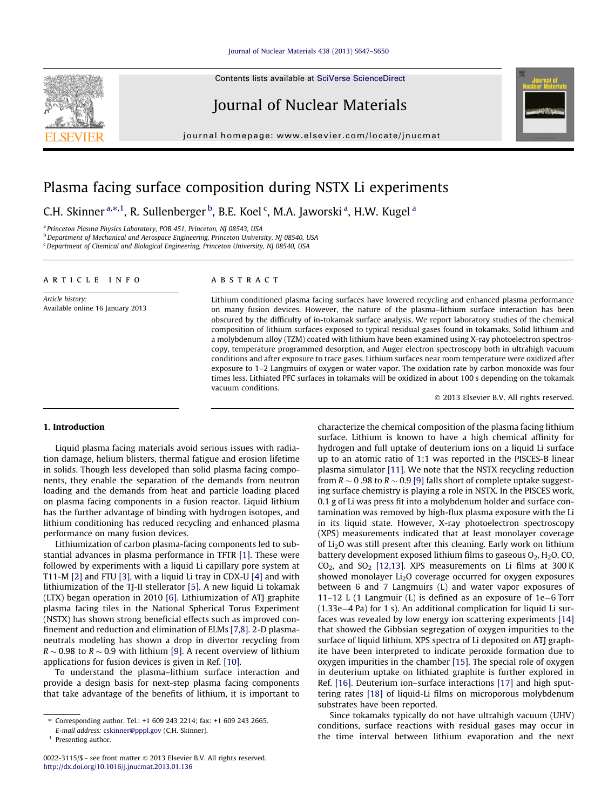#### [Journal of Nuclear Materials 438 \(2013\) S647–S650](http://dx.doi.org/10.1016/j.jnucmat.2013.01.136)

Contents lists available at [SciVerse ScienceDirect](http://www.sciencedirect.com/science/journal/00223115)

# Journal of Nuclear Materials

journal homepage: [www.elsevier.com/locate/jnucmat](http://www.elsevier.com/locate/jnucmat)



# Plasma facing surface composition during NSTX Li experiments

C.H. Skinner <sup>a,\*, 1</sup>, R. Sullenberger <sup>b</sup>, B.E. Koel <sup>c</sup>, M.A. Jaworski <sup>a</sup>, H.W. Kugel <sup>a</sup>

<sup>a</sup> Princeton Plasma Physics Laboratory, POB 451, Princeton, NJ 08543, USA

b Department of Mechanical and Aerospace Engineering, Princeton University, NJ 08540, USA

<sup>c</sup> Department of Chemical and Biological Engineering, Princeton University, NJ 08540, USA

## article info

Article history: Available online 16 January 2013

#### ABSTRACT

Lithium conditioned plasma facing surfaces have lowered recycling and enhanced plasma performance on many fusion devices. However, the nature of the plasma–lithium surface interaction has been obscured by the difficulty of in-tokamak surface analysis. We report laboratory studies of the chemical composition of lithium surfaces exposed to typical residual gases found in tokamaks. Solid lithium and a molybdenum alloy (TZM) coated with lithium have been examined using X-ray photoelectron spectroscopy, temperature programmed desorption, and Auger electron spectroscopy both in ultrahigh vacuum conditions and after exposure to trace gases. Lithium surfaces near room temperature were oxidized after exposure to 1–2 Langmuirs of oxygen or water vapor. The oxidation rate by carbon monoxide was four times less. Lithiated PFC surfaces in tokamaks will be oxidized in about 100 s depending on the tokamak vacuum conditions.

- 2013 Elsevier B.V. All rights reserved.

### 1. Introduction

Liquid plasma facing materials avoid serious issues with radiation damage, helium blisters, thermal fatigue and erosion lifetime in solids. Though less developed than solid plasma facing components, they enable the separation of the demands from neutron loading and the demands from heat and particle loading placed on plasma facing components in a fusion reactor. Liquid lithium has the further advantage of binding with hydrogen isotopes, and lithium conditioning has reduced recycling and enhanced plasma performance on many fusion devices.

Lithiumization of carbon plasma-facing components led to substantial advances in plasma performance in TFTR [\[1\]](#page-3-0). These were followed by experiments with a liquid Li capillary pore system at T11-M [\[2\]](#page-3-0) and FTU [\[3\]](#page-3-0), with a liquid Li tray in CDX-U [\[4\]](#page-3-0) and with lithiumization of the TJ-II stellerator [\[5\].](#page-3-0) A new liquid Li tokamak (LTX) began operation in 2010 [\[6\]](#page-3-0). Lithiumization of ATJ graphite plasma facing tiles in the National Spherical Torus Experiment (NSTX) has shown strong beneficial effects such as improved confinement and reduction and elimination of ELMs [\[7,8\]](#page-3-0). 2-D plasmaneutrals modeling has shown a drop in divertor recycling from R  $\sim$  0.98 to R  $\sim$  0.9 with lithium [\[9\]](#page-3-0). A recent overview of lithium applications for fusion devices is given in Ref. [\[10\].](#page-3-0)

To understand the plasma–lithium surface interaction and provide a design basis for next-step plasma facing components that take advantage of the benefits of lithium, it is important to characterize the chemical composition of the plasma facing lithium surface. Lithium is known to have a high chemical affinity for hydrogen and full uptake of deuterium ions on a liquid Li surface up to an atomic ratio of 1:1 was reported in the PISCES-B linear plasma simulator [\[11\]](#page-3-0). We note that the NSTX recycling reduction from R  $\sim$  0 .98 to R  $\sim$  0.9 [\[9\]](#page-3-0) falls short of complete uptake suggesting surface chemistry is playing a role in NSTX. In the PISCES work, 0.1 g of Li was press fit into a molybdenum holder and surface contamination was removed by high-flux plasma exposure with the Li in its liquid state. However, X-ray photoelectron spectroscopy (XPS) measurements indicated that at least monolayer coverage of Li2O was still present after this cleaning. Early work on lithium battery development exposed lithium films to gaseous  $O_2$ ,  $H_2O$ , CO,  $CO<sub>2</sub>$ , and  $SO<sub>2</sub>$  [\[12,13\].](#page-3-0) XPS measurements on Li films at 300 K showed monolayer  $Li<sub>2</sub>O$  coverage occurred for oxygen exposures between 6 and 7 Langmuirs (L) and water vapor exposures of 11-12 L (1 Langmuir (L) is defined as an exposure of  $1e-6$  Torr  $(1.33e-4$  Pa) for 1 s). An additional complication for liquid Li surfaces was revealed by low energy ion scattering experiments [\[14\]](#page-3-0) that showed the Gibbsian segregation of oxygen impurities to the surface of liquid lithium. XPS spectra of Li deposited on ATJ graphite have been interpreted to indicate peroxide formation due to oxygen impurities in the chamber [\[15\].](#page-3-0) The special role of oxygen in deuterium uptake on lithiated graphite is further explored in Ref. [\[16\].](#page-3-0) Deuterium ion–surface interactions [\[17\]](#page-3-0) and high sputtering rates [\[18\]](#page-3-0) of liquid-Li films on microporous molybdenum substrates have been reported.

Since tokamaks typically do not have ultrahigh vacuum (UHV) conditions, surface reactions with residual gases may occur in the time interval between lithium evaporation and the next

<sup>⇑</sup> Corresponding author. Tel.: +1 609 243 2214; fax: +1 609 243 2665.

E-mail address: [cskinner@pppl.gov](mailto:cskinner@pppl.gov) (C.H. Skinner).

 $<sup>1</sup>$  Presenting author.</sup>

<sup>0022-3115/\$ -</sup> see front matter © 2013 Elsevier B.V. All rights reserved. <http://dx.doi.org/10.1016/j.jnucmat.2013.01.136>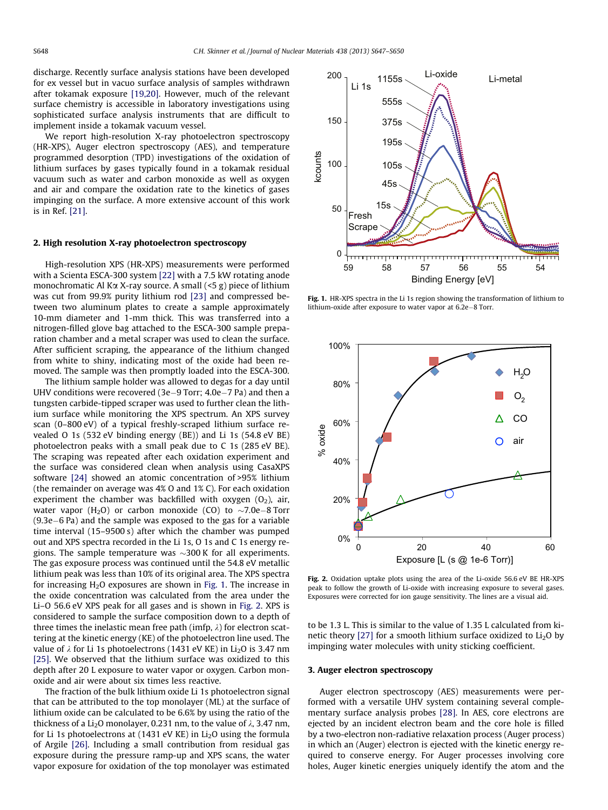discharge. Recently surface analysis stations have been developed for ex vessel but in vacuo surface analysis of samples withdrawn after tokamak exposure [\[19,20\]](#page-3-0). However, much of the relevant surface chemistry is accessible in laboratory investigations using sophisticated surface analysis instruments that are difficult to implement inside a tokamak vacuum vessel.

We report high-resolution X-ray photoelectron spectroscopy (HR-XPS), Auger electron spectroscopy (AES), and temperature programmed desorption (TPD) investigations of the oxidation of lithium surfaces by gases typically found in a tokamak residual vacuum such as water and carbon monoxide as well as oxygen and air and compare the oxidation rate to the kinetics of gases impinging on the surface. A more extensive account of this work is in Ref. [\[21\].](#page-3-0)

#### 2. High resolution X-ray photoelectron spectroscopy

High-resolution XPS (HR-XPS) measurements were performed with a Scienta ESCA-300 system [\[22\]](#page-3-0) with a 7.5 kW rotating anode monochromatic Al K $\alpha$  X-ray source. A small (<5 g) piece of lithium was cut from 99.9% purity lithium rod [\[23\]](#page-3-0) and compressed between two aluminum plates to create a sample approximately 10-mm diameter and 1-mm thick. This was transferred into a nitrogen-filled glove bag attached to the ESCA-300 sample preparation chamber and a metal scraper was used to clean the surface. After sufficient scraping, the appearance of the lithium changed from white to shiny, indicating most of the oxide had been removed. The sample was then promptly loaded into the ESCA-300.

The lithium sample holder was allowed to degas for a day until UHV conditions were recovered (3e-9 Torr;  $4.0e-7$  Pa) and then a tungsten carbide-tipped scraper was used to further clean the lithium surface while monitoring the XPS spectrum. An XPS survey scan (0–800 eV) of a typical freshly-scraped lithium surface revealed O 1s (532 eV binding energy (BE)) and Li 1s (54.8 eV BE) photoelectron peaks with a small peak due to C 1s (285 eV BE). The scraping was repeated after each oxidation experiment and the surface was considered clean when analysis using CasaXPS software [\[24\]](#page-3-0) showed an atomic concentration of >95% lithium (the remainder on average was 4% O and 1% C). For each oxidation experiment the chamber was backfilled with oxygen  $(O_2)$ , air, water vapor (H2O) or carbon monoxide (CO) to  ${\sim}7.0$ e–8 $\,$ Torr  $(9.3e-6$  Pa) and the sample was exposed to the gas for a variable time interval (15–9500 s) after which the chamber was pumped out and XPS spectra recorded in the Li 1s, O 1s and C 1s energy regions. The sample temperature was  ${\sim}300\,\text{K}$  for all experiments. The gas exposure process was continued until the 54.8 eV metallic lithium peak was less than 10% of its original area. The XPS spectra for increasing  $H_2O$  exposures are shown in Fig. 1. The increase in the oxide concentration was calculated from the area under the Li–O 56.6 eV XPS peak for all gases and is shown in Fig. 2. XPS is considered to sample the surface composition down to a depth of three times the inelastic mean free path (imfp,  $\lambda$ ) for electron scattering at the kinetic energy (KE) of the photoelectron line used. The value of  $\lambda$  for Li 1s photoelectrons (1431 eV KE) in Li<sub>2</sub>O is 3.47 nm [\[25\]](#page-3-0). We observed that the lithium surface was oxidized to this depth after 20 L exposure to water vapor or oxygen. Carbon monoxide and air were about six times less reactive.

The fraction of the bulk lithium oxide Li 1s photoelectron signal that can be attributed to the top monolayer (ML) at the surface of lithium oxide can be calculated to be 6.6% by using the ratio of the thickness of a Li<sub>2</sub>O monolayer, 0.231 nm, to the value of  $\lambda$ , 3.47 nm, for Li 1s photoelectrons at (1431 eV KE) in Li<sub>2</sub>O using the formula of Argile [\[26\].](#page-3-0) Including a small contribution from residual gas exposure during the pressure ramp-up and XPS scans, the water vapor exposure for oxidation of the top monolayer was estimated



Fig. 1. HR-XPS spectra in the Li 1s region showing the transformation of lithium to lithium-oxide after exposure to water vapor at  $6.2e-8$  Torr.



Fig. 2. Oxidation uptake plots using the area of the Li-oxide 56.6 eV BE HR-XPS peak to follow the growth of Li-oxide with increasing exposure to several gases. Exposures were corrected for ion gauge sensitivity. The lines are a visual aid.

to be 1.3 L. This is similar to the value of 1.35 L calculated from kinetic theory  $[27]$  for a smooth lithium surface oxidized to  $Li<sub>2</sub>O$  by impinging water molecules with unity sticking coefficient.

#### 3. Auger electron spectroscopy

Auger electron spectroscopy (AES) measurements were performed with a versatile UHV system containing several complementary surface analysis probes [\[28\]](#page-3-0). In AES, core electrons are ejected by an incident electron beam and the core hole is filled by a two-electron non-radiative relaxation process (Auger process) in which an (Auger) electron is ejected with the kinetic energy required to conserve energy. For Auger processes involving core holes, Auger kinetic energies uniquely identify the atom and the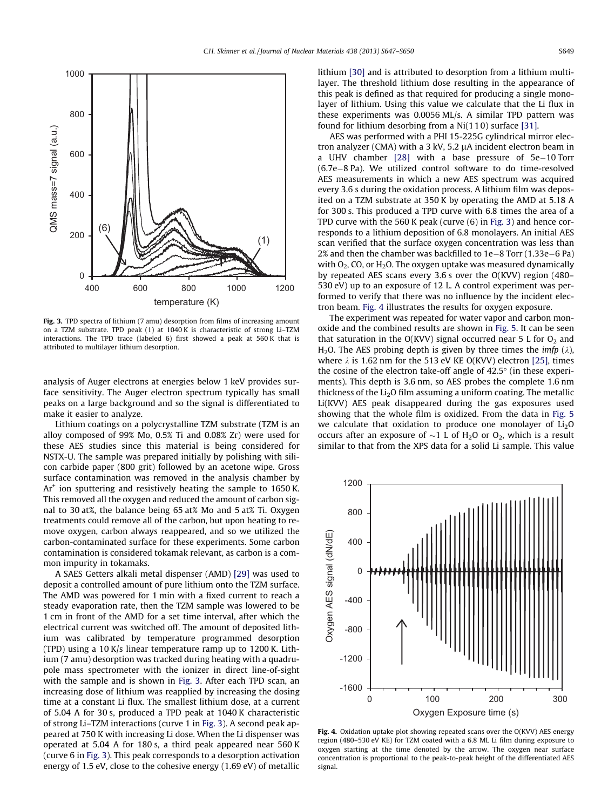<span id="page-2-0"></span>

Fig. 3. TPD spectra of lithium (7 amu) desorption from films of increasing amount on a TZM substrate. TPD peak (1) at 1040 K is characteristic of strong Li–TZM interactions. The TPD trace (labeled 6) first showed a peak at 560 K that is attributed to multilayer lithium desorption.

analysis of Auger electrons at energies below 1 keV provides surface sensitivity. The Auger electron spectrum typically has small peaks on a large background and so the signal is differentiated to make it easier to analyze.

Lithium coatings on a polycrystalline TZM substrate (TZM is an alloy composed of 99% Mo, 0.5% Ti and 0.08% Zr) were used for these AES studies since this material is being considered for NSTX-U. The sample was prepared initially by polishing with silicon carbide paper (800 grit) followed by an acetone wipe. Gross surface contamination was removed in the analysis chamber by  $Ar<sup>+</sup>$  ion sputtering and resistively heating the sample to 1650 K. This removed all the oxygen and reduced the amount of carbon signal to 30 at%, the balance being 65 at% Mo and 5 at% Ti. Oxygen treatments could remove all of the carbon, but upon heating to remove oxygen, carbon always reappeared, and so we utilized the carbon-contaminated surface for these experiments. Some carbon contamination is considered tokamak relevant, as carbon is a common impurity in tokamaks.

A SAES Getters alkali metal dispenser (AMD) [\[29\]](#page-3-0) was used to deposit a controlled amount of pure lithium onto the TZM surface. The AMD was powered for 1 min with a fixed current to reach a steady evaporation rate, then the TZM sample was lowered to be 1 cm in front of the AMD for a set time interval, after which the electrical current was switched off. The amount of deposited lithium was calibrated by temperature programmed desorption (TPD) using a 10 K/s linear temperature ramp up to 1200 K. Lithium (7 amu) desorption was tracked during heating with a quadrupole mass spectrometer with the ionizer in direct line-of-sight with the sample and is shown in Fig. 3. After each TPD scan, an increasing dose of lithium was reapplied by increasing the dosing time at a constant Li flux. The smallest lithium dose, at a current of 5.04 A for 30 s, produced a TPD peak at 1040 K characteristic of strong Li–TZM interactions (curve 1 in Fig. 3). A second peak appeared at 750 K with increasing Li dose. When the Li dispenser was operated at 5.04 A for 180 s, a third peak appeared near 560 K (curve 6 in Fig. 3). This peak corresponds to a desorption activation energy of 1.5 eV, close to the cohesive energy (1.69 eV) of metallic lithium [\[30\]](#page-3-0) and is attributed to desorption from a lithium multilayer. The threshold lithium dose resulting in the appearance of this peak is defined as that required for producing a single monolayer of lithium. Using this value we calculate that the Li flux in these experiments was 0.0056 ML/s. A similar TPD pattern was found for lithium desorbing from a Ni(11 0) surface [\[31\]](#page-3-0).

AES was performed with a PHI 15-225G cylindrical mirror electron analyzer (CMA) with a 3 kV, 5.2  $\mu$ A incident electron beam in a UHV chamber  $[28]$  with a base pressure of  $5e-10$  Torr  $(6.7e-8$  Pa). We utilized control software to do time-resolved AES measurements in which a new AES spectrum was acquired every 3.6 s during the oxidation process. A lithium film was deposited on a TZM substrate at 350 K by operating the AMD at 5.18 A for 300 s. This produced a TPD curve with 6.8 times the area of a TPD curve with the 560 K peak (curve (6) in Fig. 3) and hence corresponds to a lithium deposition of 6.8 monolayers. An initial AES scan verified that the surface oxygen concentration was less than 2% and then the chamber was backfilled to  $1e-8$  Torr (1.33e-6 Pa) with  $O<sub>2</sub>$ , CO, or H<sub>2</sub>O. The oxygen uptake was measured dynamically by repeated AES scans every 3.6 s over the O(KVV) region (480– 530 eV) up to an exposure of 12 L. A control experiment was performed to verify that there was no influence by the incident electron beam. Fig. 4 illustrates the results for oxygen exposure.

The experiment was repeated for water vapor and carbon monoxide and the combined results are shown in [Fig. 5.](#page-3-0) It can be seen that saturation in the O(KVV) signal occurred near 5 L for  $O_2$  and H<sub>2</sub>O. The AES probing depth is given by three times the *imfp* ( $\lambda$ ), where  $\lambda$  is 1.62 nm for the 513 eV KE O(KVV) electron [\[25\],](#page-3-0) times the cosine of the electron take-off angle of  $42.5^{\circ}$  (in these experiments). This depth is 3.6 nm, so AES probes the complete 1.6 nm thickness of the  $Li<sub>2</sub>O$  film assuming a uniform coating. The metallic Li(KVV) AES peak disappeared during the gas exposures used showing that the whole film is oxidized. From the data in [Fig. 5](#page-3-0) we calculate that oxidation to produce one monolayer of  $Li<sub>2</sub>O$ occurs after an exposure of  ${\sim}1$  L of H<sub>2</sub>O or O<sub>2</sub>, which is a result similar to that from the XPS data for a solid Li sample. This value



Fig. 4. Oxidation uptake plot showing repeated scans over the O(KVV) AES energy region (480–530 eV KE) for TZM coated with a 6.8 ML Li film during exposure to oxygen starting at the time denoted by the arrow. The oxygen near surface concentration is proportional to the peak-to-peak height of the differentiated AES signal.